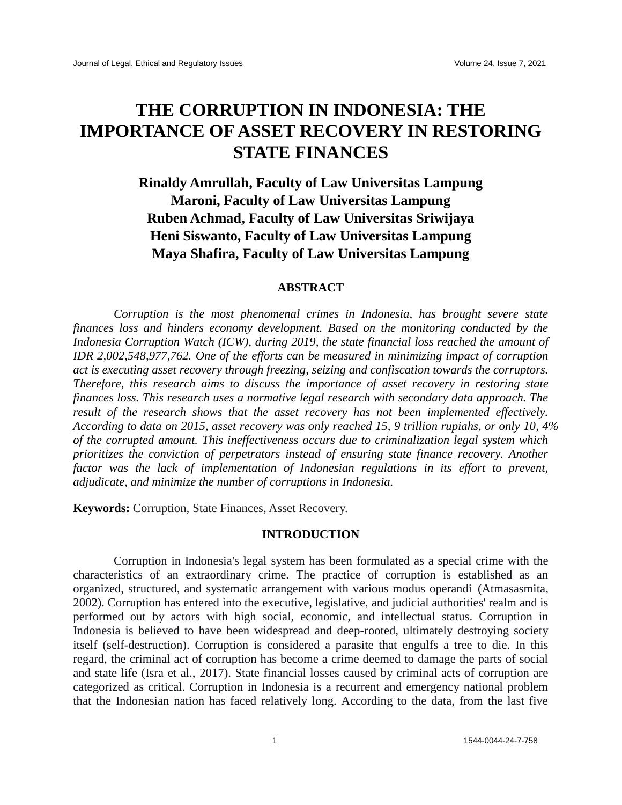# **THE CORRUPTION IN INDONESIA: THE IMPORTANCE OF ASSET RECOVERY IN RESTORING STATE FINANCES**

## **Rinaldy Amrullah, Faculty of Law Universitas Lampung Maroni, Faculty of Law Universitas Lampung Ruben Achmad, Faculty of Law Universitas Sriwijaya Heni Siswanto, Faculty of Law Universitas Lampung Maya Shafira, Faculty of Law Universitas Lampung**

#### **ABSTRACT**

*Corruption is the most phenomenal crimes in Indonesia, has brought severe state finances loss and hinders economy development. Based on the monitoring conducted by the Indonesia Corruption Watch (ICW), during 2019, the state financial loss reached the amount of IDR 2,002,548,977,762. One of the efforts can be measured in minimizing impact of corruption act is executing asset recovery through freezing, seizing and confiscation towards the corruptors. Therefore, this research aims to discuss the importance of asset recovery in restoring state finances loss. This research uses a normative legal research with secondary data approach. The result of the research shows that the asset recovery has not been implemented effectively. According to data on 2015, asset recovery was only reached 15, 9 trillion rupiahs, or only 10, 4% of the corrupted amount. This ineffectiveness occurs due to criminalization legal system which prioritizes the conviction of perpetrators instead of ensuring state finance recovery. Another factor was the lack of implementation of Indonesian regulations in its effort to prevent, adjudicate, and minimize the number of corruptions in Indonesia.*

**Keywords:** Corruption, State Finances, Asset Recovery.

#### **INTRODUCTION**

Corruption in Indonesia's legal system has been formulated as a special crime with the characteristics of an extraordinary crime. The practice of corruption is established as an organized, structured, and systematic arrangement with various modus operandi (Atmasasmita, 2002). Corruption has entered into the executive, legislative, and judicial authorities' realm and is performed out by actors with high social, economic, and intellectual status. Corruption in Indonesia is believed to have been widespread and deep-rooted, ultimately destroying society itself (self-destruction). Corruption is considered a parasite that engulfs a tree to die. In this regard, the criminal act of corruption has become a crime deemed to damage the parts of social and state life (Isra et al., 2017). State financial losses caused by criminal acts of corruption are categorized as critical. Corruption in Indonesia is a recurrent and emergency national problem that the Indonesian nation has faced relatively long. According to the data, from the last five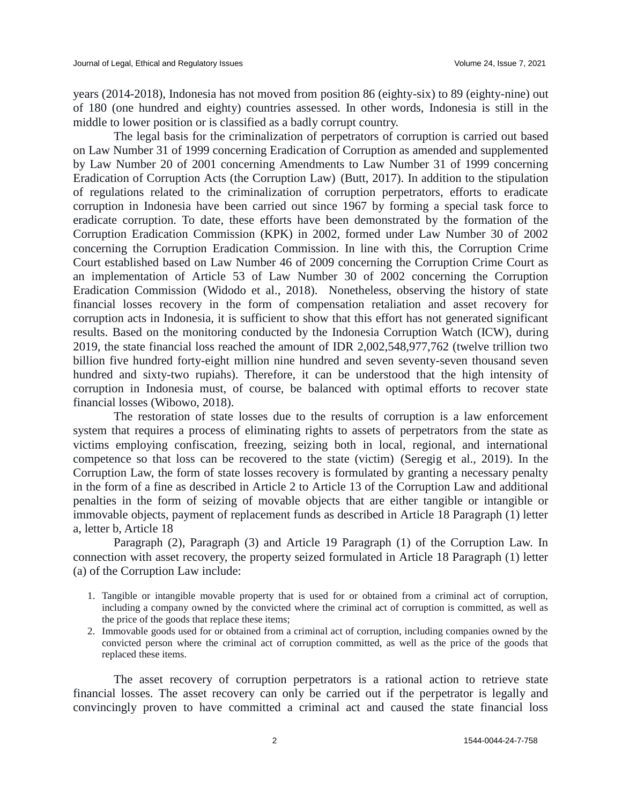years (2014-2018), Indonesia has not moved from position 86 (eighty-six) to 89 (eighty-nine) out of 180 (one hundred and eighty) countries assessed. In other words, Indonesia is still in the middle to lower position or is classified as a badly corrupt country.

The legal basis for the criminalization of perpetrators of corruption is carried out based on Law Number 31 of 1999 concerning Eradication of Corruption as amended and supplemented by Law Number 20 of 2001 concerning Amendments to Law Number 31 of 1999 concerning Eradication of Corruption Acts (the Corruption Law) (Butt, 2017). In addition to the stipulation of regulations related to the criminalization of corruption perpetrators, efforts to eradicate corruption in Indonesia have been carried out since 1967 by forming a special task force to eradicate corruption. To date, these efforts have been demonstrated by the formation of the Corruption Eradication Commission (KPK) in 2002, formed under Law Number 30 of 2002 concerning the Corruption Eradication Commission. In line with this, the Corruption Crime Court established based on Law Number 46 of 2009 concerning the Corruption Crime Court as an implementation of Article 53 of Law Number 30 of 2002 concerning the Corruption Eradication Commission (Widodo et al., 2018). Nonetheless, observing the history of state financial losses recovery in the form of compensation retaliation and asset recovery for corruption acts in Indonesia, it is sufficient to show that this effort has not generated significant results. Based on the monitoring conducted by the Indonesia Corruption Watch (ICW), during 2019, the state financial loss reached the amount of IDR 2,002,548,977,762 (twelve trillion two billion five hundred forty-eight million nine hundred and seven seventy-seven thousand seven hundred and sixty-two rupiahs). Therefore, it can be understood that the high intensity of corruption in Indonesia must, of course, be balanced with optimal efforts to recover state financial losses (Wibowo, 2018).

The restoration of state losses due to the results of corruption is a law enforcement system that requires a process of eliminating rights to assets of perpetrators from the state as victims employing confiscation, freezing, seizing both in local, regional, and international competence so that loss can be recovered to the state (victim) (Seregig et al., 2019). In the Corruption Law, the form of state losses recovery is formulated by granting a necessary penalty in the form of a fine as described in Article 2 to Article 13 of the Corruption Law and additional penalties in the form of seizing of movable objects that are either tangible or intangible or immovable objects, payment of replacement funds as described in Article 18 Paragraph (1) letter a, letter b, Article 18

Paragraph (2), Paragraph (3) and Article 19 Paragraph (1) of the Corruption Law. In connection with asset recovery, the property seized formulated in Article 18 Paragraph (1) letter (a) of the Corruption Law include:

- 1. Tangible or intangible movable property that is used for or obtained from a criminal act of corruption, including a company owned by the convicted where the criminal act of corruption is committed, as well as the price of the goods that replace these items;
- 2. Immovable goods used for or obtained from a criminal act of corruption, including companies owned by the convicted person where the criminal act of corruption committed, as well as the price of the goods that replaced these items.

The asset recovery of corruption perpetrators is a rational action to retrieve state financial losses. The asset recovery can only be carried out if the perpetrator is legally and convincingly proven to have committed a criminal act and caused the state financial loss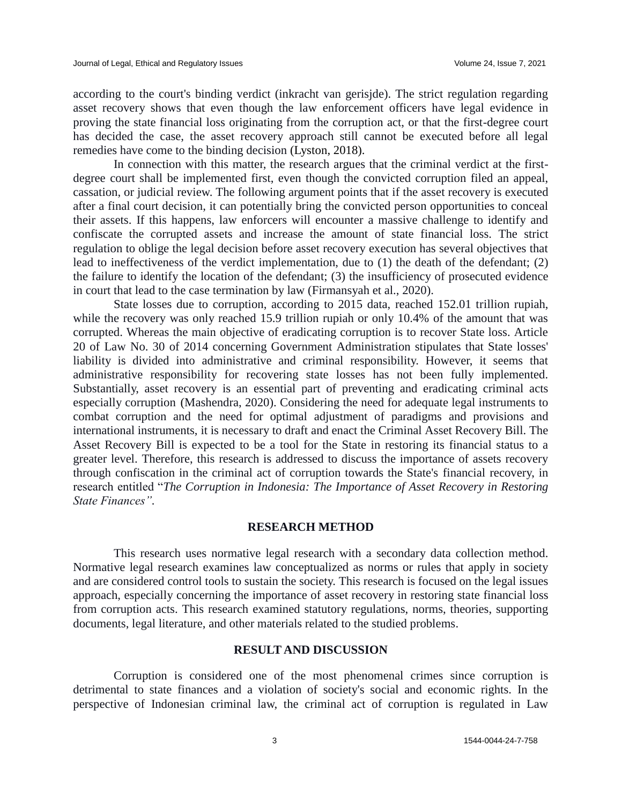according to the court's binding verdict (inkracht van gerisjde). The strict regulation regarding asset recovery shows that even though the law enforcement officers have legal evidence in proving the state financial loss originating from the corruption act, or that the first-degree court has decided the case, the asset recovery approach still cannot be executed before all legal remedies have come to the binding decision (Lyston, 2018).

In connection with this matter, the research argues that the criminal verdict at the firstdegree court shall be implemented first, even though the convicted corruption filed an appeal, cassation, or judicial review. The following argument points that if the asset recovery is executed after a final court decision, it can potentially bring the convicted person opportunities to conceal their assets. If this happens, law enforcers will encounter a massive challenge to identify and confiscate the corrupted assets and increase the amount of state financial loss. The strict regulation to oblige the legal decision before asset recovery execution has several objectives that lead to ineffectiveness of the verdict implementation, due to (1) the death of the defendant; (2) the failure to identify the location of the defendant; (3) the insufficiency of prosecuted evidence in court that lead to the case termination by law (Firmansyah et al., 2020).

State losses due to corruption, according to 2015 data, reached 152.01 trillion rupiah, while the recovery was only reached 15.9 trillion rupiah or only 10.4% of the amount that was corrupted. Whereas the main objective of eradicating corruption is to recover State loss. Article 20 of Law No. 30 of 2014 concerning Government Administration stipulates that State losses' liability is divided into administrative and criminal responsibility. However, it seems that administrative responsibility for recovering state losses has not been fully implemented. Substantially, asset recovery is an essential part of preventing and eradicating criminal acts especially corruption (Mashendra, 2020). Considering the need for adequate legal instruments to combat corruption and the need for optimal adjustment of paradigms and provisions and international instruments, it is necessary to draft and enact the Criminal Asset Recovery Bill. The Asset Recovery Bill is expected to be a tool for the State in restoring its financial status to a greater level. Therefore, this research is addressed to discuss the importance of assets recovery through confiscation in the criminal act of corruption towards the State's financial recovery, in research entitled "*The Corruption in Indonesia: The Importance of Asset Recovery in Restoring State Finances".*

#### **RESEARCH METHOD**

This research uses normative legal research with a secondary data collection method. Normative legal research examines law conceptualized as norms or rules that apply in society and are considered control tools to sustain the society. This research is focused on the legal issues approach, especially concerning the importance of asset recovery in restoring state financial loss from corruption acts. This research examined statutory regulations, norms, theories, supporting documents, legal literature, and other materials related to the studied problems.

#### **RESULT AND DISCUSSION**

Corruption is considered one of the most phenomenal crimes since corruption is detrimental to state finances and a violation of society's social and economic rights. In the perspective of Indonesian criminal law, the criminal act of corruption is regulated in Law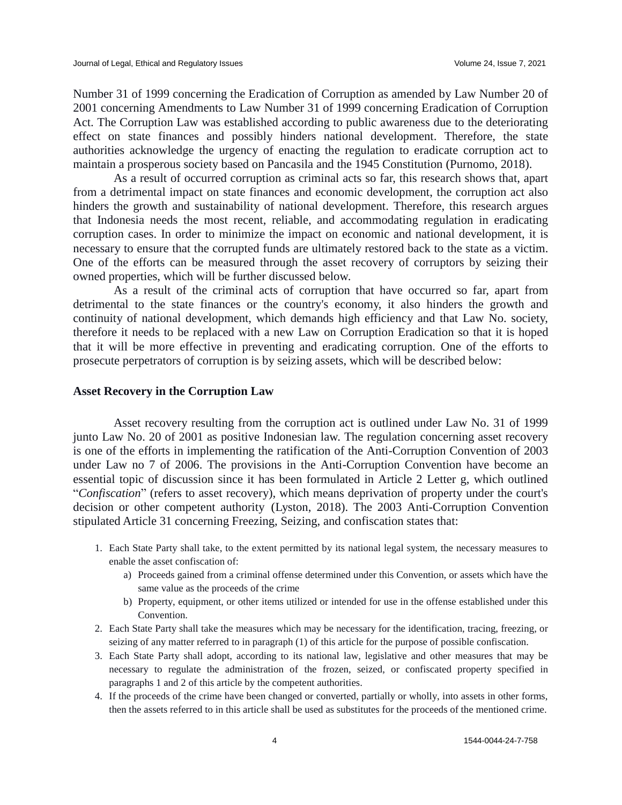Number 31 of 1999 concerning the Eradication of Corruption as amended by Law Number 20 of 2001 concerning Amendments to Law Number 31 of 1999 concerning Eradication of Corruption Act. The Corruption Law was established according to public awareness due to the deteriorating effect on state finances and possibly hinders national development. Therefore, the state authorities acknowledge the urgency of enacting the regulation to eradicate corruption act to maintain a prosperous society based on Pancasila and the 1945 Constitution (Purnomo, 2018).

As a result of occurred corruption as criminal acts so far, this research shows that, apart from a detrimental impact on state finances and economic development, the corruption act also hinders the growth and sustainability of national development. Therefore, this research argues that Indonesia needs the most recent, reliable, and accommodating regulation in eradicating corruption cases. In order to minimize the impact on economic and national development, it is necessary to ensure that the corrupted funds are ultimately restored back to the state as a victim. One of the efforts can be measured through the asset recovery of corruptors by seizing their owned properties, which will be further discussed below.

As a result of the criminal acts of corruption that have occurred so far, apart from detrimental to the state finances or the country's economy, it also hinders the growth and continuity of national development, which demands high efficiency and that Law No. society, therefore it needs to be replaced with a new Law on Corruption Eradication so that it is hoped that it will be more effective in preventing and eradicating corruption. One of the efforts to prosecute perpetrators of corruption is by seizing assets, which will be described below:

#### **Asset Recovery in the Corruption Law**

Asset recovery resulting from the corruption act is outlined under Law No. 31 of 1999 junto Law No. 20 of 2001 as positive Indonesian law. The regulation concerning asset recovery is one of the efforts in implementing the ratification of the Anti-Corruption Convention of 2003 under Law no 7 of 2006. The provisions in the Anti-Corruption Convention have become an essential topic of discussion since it has been formulated in Article 2 Letter g, which outlined "*Confiscation*" (refers to asset recovery), which means deprivation of property under the court's decision or other competent authority (Lyston, 2018). The 2003 Anti-Corruption Convention stipulated Article 31 concerning Freezing, Seizing, and confiscation states that:

- 1. Each State Party shall take, to the extent permitted by its national legal system, the necessary measures to enable the asset confiscation of:
	- a) Proceeds gained from a criminal offense determined under this Convention, or assets which have the same value as the proceeds of the crime
	- b) Property, equipment, or other items utilized or intended for use in the offense established under this Convention.
- 2. Each State Party shall take the measures which may be necessary for the identification, tracing, freezing, or seizing of any matter referred to in paragraph (1) of this article for the purpose of possible confiscation.
- 3. Each State Party shall adopt, according to its national law, legislative and other measures that may be necessary to regulate the administration of the frozen, seized, or confiscated property specified in paragraphs 1 and 2 of this article by the competent authorities.
- 4. If the proceeds of the crime have been changed or converted, partially or wholly, into assets in other forms, then the assets referred to in this article shall be used as substitutes for the proceeds of the mentioned crime.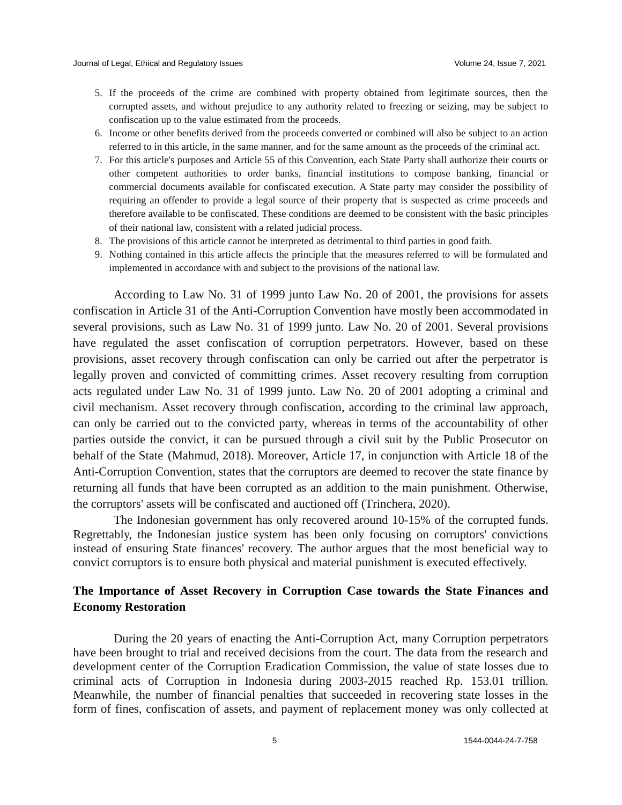- 5. If the proceeds of the crime are combined with property obtained from legitimate sources, then the corrupted assets, and without prejudice to any authority related to freezing or seizing, may be subject to confiscation up to the value estimated from the proceeds.
- 6. Income or other benefits derived from the proceeds converted or combined will also be subject to an action referred to in this article, in the same manner, and for the same amount as the proceeds of the criminal act.
- 7. For this article's purposes and Article 55 of this Convention, each State Party shall authorize their courts or other competent authorities to order banks, financial institutions to compose banking, financial or commercial documents available for confiscated execution. A State party may consider the possibility of requiring an offender to provide a legal source of their property that is suspected as crime proceeds and therefore available to be confiscated. These conditions are deemed to be consistent with the basic principles of their national law, consistent with a related judicial process.
- 8. The provisions of this article cannot be interpreted as detrimental to third parties in good faith.
- 9. Nothing contained in this article affects the principle that the measures referred to will be formulated and implemented in accordance with and subject to the provisions of the national law.

According to Law No. 31 of 1999 junto Law No. 20 of 2001, the provisions for assets confiscation in Article 31 of the Anti-Corruption Convention have mostly been accommodated in several provisions, such as Law No. 31 of 1999 junto. Law No. 20 of 2001. Several provisions have regulated the asset confiscation of corruption perpetrators. However, based on these provisions, asset recovery through confiscation can only be carried out after the perpetrator is legally proven and convicted of committing crimes. Asset recovery resulting from corruption acts regulated under Law No. 31 of 1999 junto. Law No. 20 of 2001 adopting a criminal and civil mechanism. Asset recovery through confiscation, according to the criminal law approach, can only be carried out to the convicted party, whereas in terms of the accountability of other parties outside the convict, it can be pursued through a civil suit by the Public Prosecutor on behalf of the State (Mahmud, 2018). Moreover, Article 17, in conjunction with Article 18 of the Anti-Corruption Convention, states that the corruptors are deemed to recover the state finance by returning all funds that have been corrupted as an addition to the main punishment. Otherwise, the corruptors' assets will be confiscated and auctioned off (Trinchera, 2020).

The Indonesian government has only recovered around 10-15% of the corrupted funds. Regrettably, the Indonesian justice system has been only focusing on corruptors' convictions instead of ensuring State finances' recovery. The author argues that the most beneficial way to convict corruptors is to ensure both physical and material punishment is executed effectively.

### **The Importance of Asset Recovery in Corruption Case towards the State Finances and Economy Restoration**

During the 20 years of enacting the Anti-Corruption Act, many Corruption perpetrators have been brought to trial and received decisions from the court. The data from the research and development center of the Corruption Eradication Commission, the value of state losses due to criminal acts of Corruption in Indonesia during 2003-2015 reached Rp. 153.01 trillion. Meanwhile, the number of financial penalties that succeeded in recovering state losses in the form of fines, confiscation of assets, and payment of replacement money was only collected at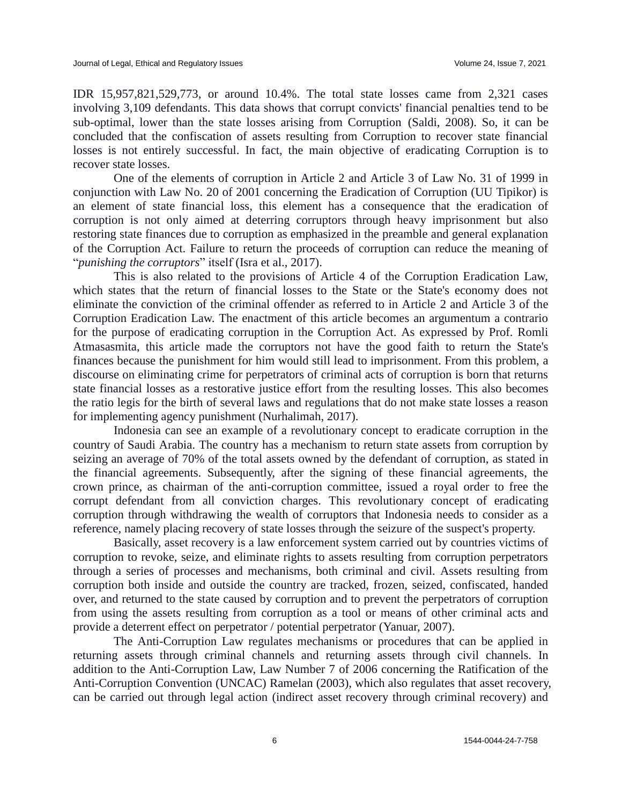IDR 15,957,821,529,773, or around 10.4%. The total state losses came from 2,321 cases involving 3,109 defendants. This data shows that corrupt convicts' financial penalties tend to be sub-optimal, lower than the state losses arising from Corruption (Saldi, 2008). So, it can be concluded that the confiscation of assets resulting from Corruption to recover state financial losses is not entirely successful. In fact, the main objective of eradicating Corruption is to recover state losses.

One of the elements of corruption in Article 2 and Article 3 of Law No. 31 of 1999 in conjunction with Law No. 20 of 2001 concerning the Eradication of Corruption (UU Tipikor) is an element of state financial loss, this element has a consequence that the eradication of corruption is not only aimed at deterring corruptors through heavy imprisonment but also restoring state finances due to corruption as emphasized in the preamble and general explanation of the Corruption Act. Failure to return the proceeds of corruption can reduce the meaning of "*punishing the corruptors*" itself (Isra et al., 2017).

This is also related to the provisions of Article 4 of the Corruption Eradication Law, which states that the return of financial losses to the State or the State's economy does not eliminate the conviction of the criminal offender as referred to in Article 2 and Article 3 of the Corruption Eradication Law. The enactment of this article becomes an argumentum a contrario for the purpose of eradicating corruption in the Corruption Act. As expressed by Prof. Romli Atmasasmita, this article made the corruptors not have the good faith to return the State's finances because the punishment for him would still lead to imprisonment. From this problem, a discourse on eliminating crime for perpetrators of criminal acts of corruption is born that returns state financial losses as a restorative justice effort from the resulting losses. This also becomes the ratio legis for the birth of several laws and regulations that do not make state losses a reason for implementing agency punishment (Nurhalimah, 2017).

Indonesia can see an example of a revolutionary concept to eradicate corruption in the country of Saudi Arabia. The country has a mechanism to return state assets from corruption by seizing an average of 70% of the total assets owned by the defendant of corruption, as stated in the financial agreements. Subsequently, after the signing of these financial agreements, the crown prince, as chairman of the anti-corruption committee, issued a royal order to free the corrupt defendant from all conviction charges. This revolutionary concept of eradicating corruption through withdrawing the wealth of corruptors that Indonesia needs to consider as a reference, namely placing recovery of state losses through the seizure of the suspect's property.

Basically, asset recovery is a law enforcement system carried out by countries victims of corruption to revoke, seize, and eliminate rights to assets resulting from corruption perpetrators through a series of processes and mechanisms, both criminal and civil. Assets resulting from corruption both inside and outside the country are tracked, frozen, seized, confiscated, handed over, and returned to the state caused by corruption and to prevent the perpetrators of corruption from using the assets resulting from corruption as a tool or means of other criminal acts and provide a deterrent effect on perpetrator / potential perpetrator (Yanuar, 2007).

The Anti-Corruption Law regulates mechanisms or procedures that can be applied in returning assets through criminal channels and returning assets through civil channels. In addition to the Anti-Corruption Law, Law Number 7 of 2006 concerning the Ratification of the Anti-Corruption Convention (UNCAC) Ramelan (2003), which also regulates that asset recovery, can be carried out through legal action (indirect asset recovery through criminal recovery) and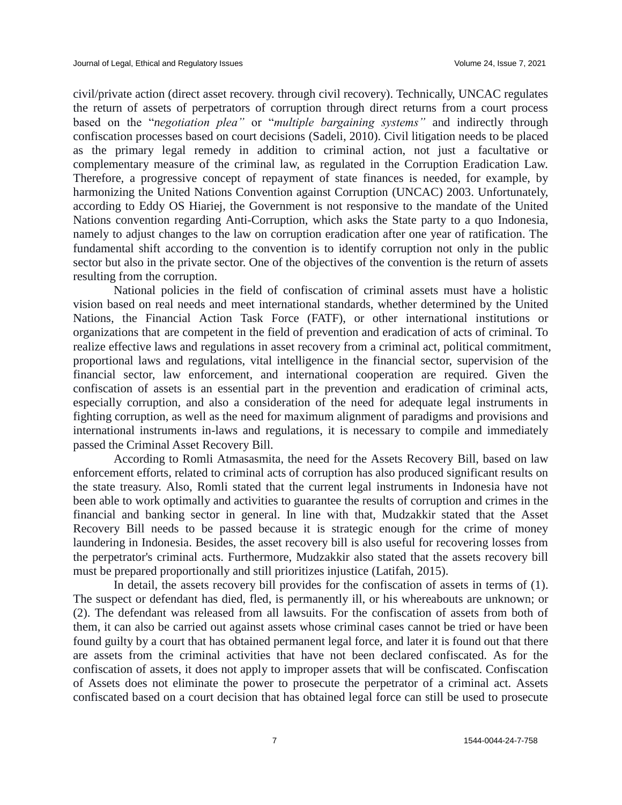civil/private action (direct asset recovery. through civil recovery). Technically, UNCAC regulates the return of assets of perpetrators of corruption through direct returns from a court process based on the "*negotiation plea"* or "*multiple bargaining systems"* and indirectly through confiscation processes based on court decisions (Sadeli, 2010). Civil litigation needs to be placed as the primary legal remedy in addition to criminal action, not just a facultative or complementary measure of the criminal law, as regulated in the Corruption Eradication Law. Therefore, a progressive concept of repayment of state finances is needed, for example, by harmonizing the United Nations Convention against Corruption (UNCAC) 2003. Unfortunately, according to Eddy OS Hiariej, the Government is not responsive to the mandate of the United Nations convention regarding Anti-Corruption, which asks the State party to a quo Indonesia, namely to adjust changes to the law on corruption eradication after one year of ratification. The fundamental shift according to the convention is to identify corruption not only in the public sector but also in the private sector. One of the objectives of the convention is the return of assets resulting from the corruption.

National policies in the field of confiscation of criminal assets must have a holistic vision based on real needs and meet international standards, whether determined by the United Nations, the Financial Action Task Force (FATF), or other international institutions or organizations that are competent in the field of prevention and eradication of acts of criminal. To realize effective laws and regulations in asset recovery from a criminal act, political commitment, proportional laws and regulations, vital intelligence in the financial sector, supervision of the financial sector, law enforcement, and international cooperation are required. Given the confiscation of assets is an essential part in the prevention and eradication of criminal acts, especially corruption, and also a consideration of the need for adequate legal instruments in fighting corruption, as well as the need for maximum alignment of paradigms and provisions and international instruments in-laws and regulations, it is necessary to compile and immediately passed the Criminal Asset Recovery Bill.

According to Romli Atmasasmita, the need for the Assets Recovery Bill, based on law enforcement efforts, related to criminal acts of corruption has also produced significant results on the state treasury. Also, Romli stated that the current legal instruments in Indonesia have not been able to work optimally and activities to guarantee the results of corruption and crimes in the financial and banking sector in general. In line with that, Mudzakkir stated that the Asset Recovery Bill needs to be passed because it is strategic enough for the crime of money laundering in Indonesia. Besides, the asset recovery bill is also useful for recovering losses from the perpetrator's criminal acts. Furthermore, Mudzakkir also stated that the assets recovery bill must be prepared proportionally and still prioritizes injustice (Latifah, 2015).

In detail, the assets recovery bill provides for the confiscation of assets in terms of (1). The suspect or defendant has died, fled, is permanently ill, or his whereabouts are unknown; or (2). The defendant was released from all lawsuits. For the confiscation of assets from both of them, it can also be carried out against assets whose criminal cases cannot be tried or have been found guilty by a court that has obtained permanent legal force, and later it is found out that there are assets from the criminal activities that have not been declared confiscated. As for the confiscation of assets, it does not apply to improper assets that will be confiscated. Confiscation of Assets does not eliminate the power to prosecute the perpetrator of a criminal act. Assets confiscated based on a court decision that has obtained legal force can still be used to prosecute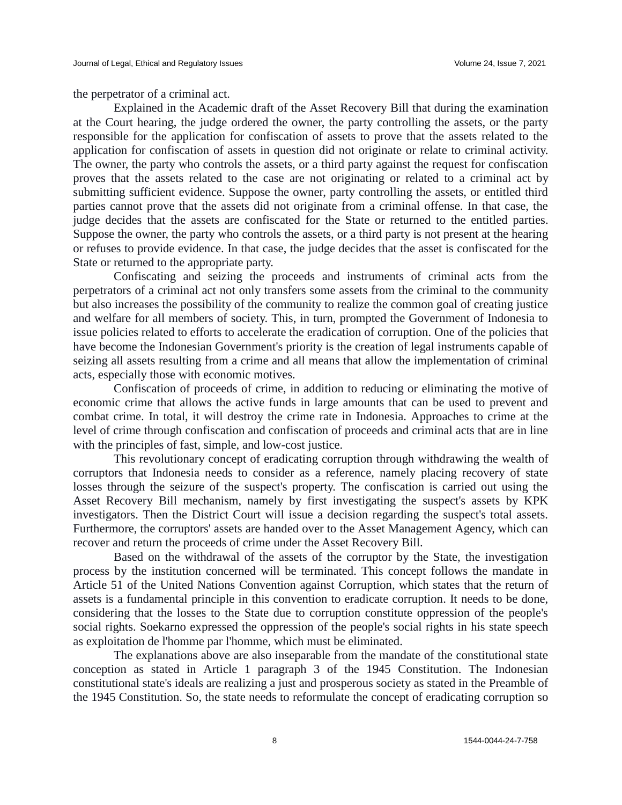the perpetrator of a criminal act.

Explained in the Academic draft of the Asset Recovery Bill that during the examination at the Court hearing, the judge ordered the owner, the party controlling the assets, or the party responsible for the application for confiscation of assets to prove that the assets related to the application for confiscation of assets in question did not originate or relate to criminal activity. The owner, the party who controls the assets, or a third party against the request for confiscation proves that the assets related to the case are not originating or related to a criminal act by submitting sufficient evidence. Suppose the owner, party controlling the assets, or entitled third parties cannot prove that the assets did not originate from a criminal offense. In that case, the judge decides that the assets are confiscated for the State or returned to the entitled parties. Suppose the owner, the party who controls the assets, or a third party is not present at the hearing or refuses to provide evidence. In that case, the judge decides that the asset is confiscated for the State or returned to the appropriate party.

Confiscating and seizing the proceeds and instruments of criminal acts from the perpetrators of a criminal act not only transfers some assets from the criminal to the community but also increases the possibility of the community to realize the common goal of creating justice and welfare for all members of society. This, in turn, prompted the Government of Indonesia to issue policies related to efforts to accelerate the eradication of corruption. One of the policies that have become the Indonesian Government's priority is the creation of legal instruments capable of seizing all assets resulting from a crime and all means that allow the implementation of criminal acts, especially those with economic motives.

Confiscation of proceeds of crime, in addition to reducing or eliminating the motive of economic crime that allows the active funds in large amounts that can be used to prevent and combat crime. In total, it will destroy the crime rate in Indonesia. Approaches to crime at the level of crime through confiscation and confiscation of proceeds and criminal acts that are in line with the principles of fast, simple, and low-cost justice.

This revolutionary concept of eradicating corruption through withdrawing the wealth of corruptors that Indonesia needs to consider as a reference, namely placing recovery of state losses through the seizure of the suspect's property. The confiscation is carried out using the Asset Recovery Bill mechanism, namely by first investigating the suspect's assets by KPK investigators. Then the District Court will issue a decision regarding the suspect's total assets. Furthermore, the corruptors' assets are handed over to the Asset Management Agency, which can recover and return the proceeds of crime under the Asset Recovery Bill.

Based on the withdrawal of the assets of the corruptor by the State, the investigation process by the institution concerned will be terminated. This concept follows the mandate in Article 51 of the United Nations Convention against Corruption, which states that the return of assets is a fundamental principle in this convention to eradicate corruption. It needs to be done, considering that the losses to the State due to corruption constitute oppression of the people's social rights. Soekarno expressed the oppression of the people's social rights in his state speech as exploitation de l'homme par l'homme, which must be eliminated.

The explanations above are also inseparable from the mandate of the constitutional state conception as stated in Article 1 paragraph 3 of the 1945 Constitution. The Indonesian constitutional state's ideals are realizing a just and prosperous society as stated in the Preamble of the 1945 Constitution. So, the state needs to reformulate the concept of eradicating corruption so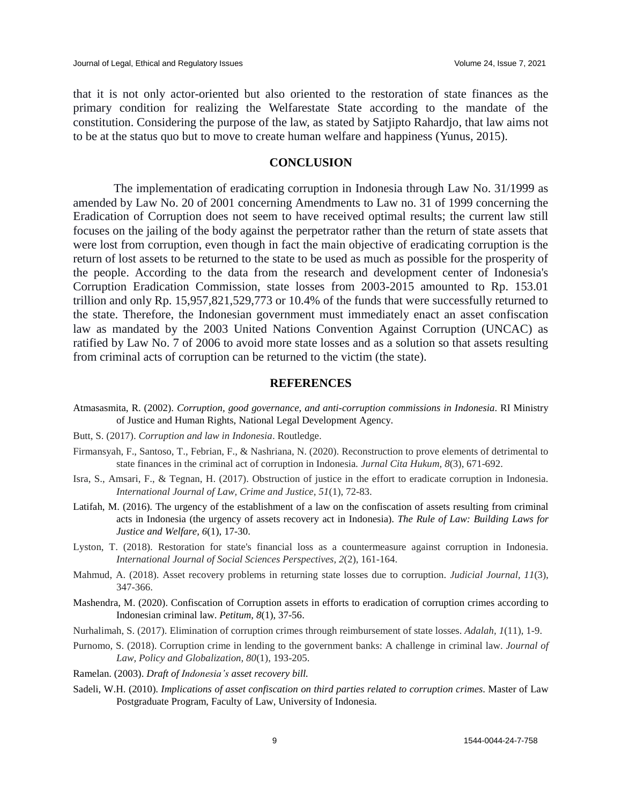that it is not only actor-oriented but also oriented to the restoration of state finances as the primary condition for realizing the Welfarestate State according to the mandate of the constitution. Considering the purpose of the law, as stated by Satjipto Rahardjo, that law aims not to be at the status quo but to move to create human welfare and happiness (Yunus, 2015).

#### **CONCLUSION**

The implementation of eradicating corruption in Indonesia through Law No. 31/1999 as amended by Law No. 20 of 2001 concerning Amendments to Law no. 31 of 1999 concerning the Eradication of Corruption does not seem to have received optimal results; the current law still focuses on the jailing of the body against the perpetrator rather than the return of state assets that were lost from corruption, even though in fact the main objective of eradicating corruption is the return of lost assets to be returned to the state to be used as much as possible for the prosperity of the people. According to the data from the research and development center of Indonesia's Corruption Eradication Commission, state losses from 2003-2015 amounted to Rp. 153.01 trillion and only Rp. 15,957,821,529,773 or 10.4% of the funds that were successfully returned to the state. Therefore, the Indonesian government must immediately enact an asset confiscation law as mandated by the 2003 United Nations Convention Against Corruption (UNCAC) as ratified by Law No. 7 of 2006 to avoid more state losses and as a solution so that assets resulting from criminal acts of corruption can be returned to the victim (the state).

#### **REFERENCES**

- Atmasasmita, R. (2002). *Corruption, good governance, and anti-corruption commissions in Indonesia*. RI Ministry of Justice and Human Rights, National Legal Development Agency.
- Butt, S. (2017). *Corruption and law in Indonesia*. Routledge.
- Firmansyah, F., Santoso, T., Febrian, F., & Nashriana, N. (2020). Reconstruction to prove elements of detrimental to state finances in the criminal act of corruption in Indonesia*. Jurnal Cita Hukum, 8*(3), 671-692.
- Isra, S., Amsari, F., & Tegnan, H. (2017). Obstruction of justice in the effort to eradicate corruption in Indonesia. *International Journal of Law, Crime and Justice, 51*(1), 72-83.
- Latifah, M. (2016). The urgency of the establishment of a law on the confiscation of assets resulting from criminal acts in Indonesia (the urgency of assets recovery act in Indonesia). *The Rule of Law: Building Laws for Justice and Welfare, 6*(1), 17-30.
- Lyston, T. (2018). Restoration for state's financial loss as a countermeasure against corruption in Indonesia. *International Journal of Social Sciences Perspectives, 2*(2), 161-164.
- Mahmud, A. (2018). Asset recovery problems in returning state losses due to corruption. *Judicial Journal, 11*(3), 347-366.
- Mashendra, M. (2020). Confiscation of Corruption assets in efforts to eradication of corruption crimes according to Indonesian criminal law. *Petitum, 8*(1), 37-56.
- Nurhalimah, S. (2017). Elimination of corruption crimes through reimbursement of state losses. *Adalah, 1*(11), 1-9.
- Purnomo, S. (2018). Corruption crime in lending to the government banks: A challenge in criminal law. *Journal of Law, Policy and Globalization, 80*(1), 193-205.
- Ramelan. (2003). *Draft of Indonesia's asset recovery bill.*
- Sadeli, W.H. (2010). *Implications of asset confiscation on third parties related to corruption crimes*. Master of Law Postgraduate Program, Faculty of Law, University of Indonesia.